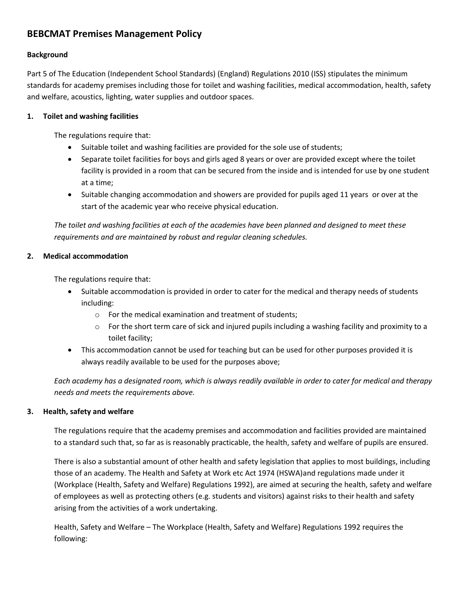# **BEBCMAT Premises Management Policy**

### **Background**

Part 5 of The Education (Independent School Standards) (England) Regulations 2010 (ISS) stipulates the minimum standards for academy premises including those for toilet and washing facilities, medical accommodation, health, safety and welfare, acoustics, lighting, water supplies and outdoor spaces.

### **1. Toilet and washing facilities**

The regulations require that:

- Suitable toilet and washing facilities are provided for the sole use of students;
- Separate toilet facilities for boys and girls aged 8 years or over are provided except where the toilet facility is provided in a room that can be secured from the inside and is intended for use by one student at a time;
- Suitable changing accommodation and showers are provided for pupils aged 11 years or over at the start of the academic year who receive physical education.

*The toilet and washing facilities at each of the academies have been planned and designed to meet these requirements and are maintained by robust and regular cleaning schedules.*

# **2. Medical accommodation**

The regulations require that:

- Suitable accommodation is provided in order to cater for the medical and therapy needs of students including:
	- o For the medical examination and treatment of students;
	- $\circ$  For the short term care of sick and injured pupils including a washing facility and proximity to a toilet facility;
- This accommodation cannot be used for teaching but can be used for other purposes provided it is always readily available to be used for the purposes above;

*Each academy has a designated room, which is always readily available in order to cater for medical and therapy needs and meets the requirements above.*

### **3. Health, safety and welfare**

The regulations require that the academy premises and accommodation and facilities provided are maintained to a standard such that, so far as is reasonably practicable, the health, safety and welfare of pupils are ensured.

There is also a substantial amount of other health and safety legislation that applies to most buildings, including those of an academy. The Health and Safety at Work etc Act 1974 (HSWA)and regulations made under it (Workplace (Health, Safety and Welfare) Regulations 1992), are aimed at securing the health, safety and welfare of employees as well as protecting others (e.g. students and visitors) against risks to their health and safety arising from the activities of a work undertaking.

Health, Safety and Welfare – The Workplace (Health, Safety and Welfare) Regulations 1992 requires the following: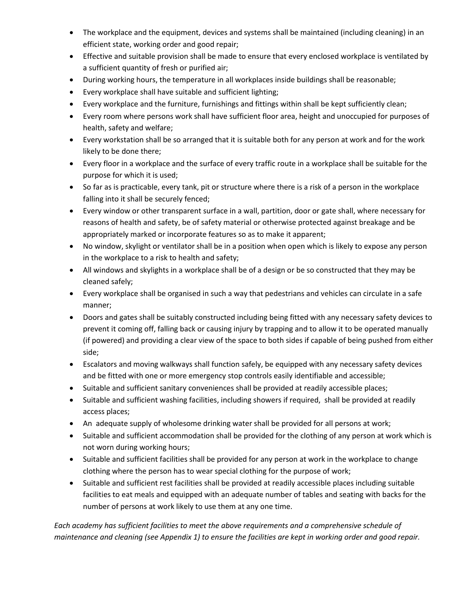- The workplace and the equipment, devices and systems shall be maintained (including cleaning) in an efficient state, working order and good repair;
- Effective and suitable provision shall be made to ensure that every enclosed workplace is ventilated by a sufficient quantity of fresh or purified air;
- During working hours, the temperature in all workplaces inside buildings shall be reasonable;
- Every workplace shall have suitable and sufficient lighting;
- Every workplace and the furniture, furnishings and fittings within shall be kept sufficiently clean;
- Every room where persons work shall have sufficient floor area, height and unoccupied for purposes of health, safety and welfare;
- Every workstation shall be so arranged that it is suitable both for any person at work and for the work likely to be done there;
- Every floor in a workplace and the surface of every traffic route in a workplace shall be suitable for the purpose for which it is used;
- So far as is practicable, every tank, pit or structure where there is a risk of a person in the workplace falling into it shall be securely fenced;
- Every window or other transparent surface in a wall, partition, door or gate shall, where necessary for reasons of health and safety, be of safety material or otherwise protected against breakage and be appropriately marked or incorporate features so as to make it apparent;
- No window, skylight or ventilator shall be in a position when open which is likely to expose any person in the workplace to a risk to health and safety;
- All windows and skylights in a workplace shall be of a design or be so constructed that they may be cleaned safely;
- Every workplace shall be organised in such a way that pedestrians and vehicles can circulate in a safe manner;
- Doors and gates shall be suitably constructed including being fitted with any necessary safety devices to prevent it coming off, falling back or causing injury by trapping and to allow it to be operated manually (if powered) and providing a clear view of the space to both sides if capable of being pushed from either side;
- Escalators and moving walkways shall function safely, be equipped with any necessary safety devices and be fitted with one or more emergency stop controls easily identifiable and accessible;
- Suitable and sufficient sanitary conveniences shall be provided at readily accessible places;
- Suitable and sufficient washing facilities, including showers if required, shall be provided at readily access places;
- An adequate supply of wholesome drinking water shall be provided for all persons at work;
- Suitable and sufficient accommodation shall be provided for the clothing of any person at work which is not worn during working hours;
- Suitable and sufficient facilities shall be provided for any person at work in the workplace to change clothing where the person has to wear special clothing for the purpose of work;
- Suitable and sufficient rest facilities shall be provided at readily accessible places including suitable facilities to eat meals and equipped with an adequate number of tables and seating with backs for the number of persons at work likely to use them at any one time.

*Each academy has sufficient facilities to meet the above requirements and a comprehensive schedule of maintenance and cleaning (see Appendix 1) to ensure the facilities are kept in working order and good repair.*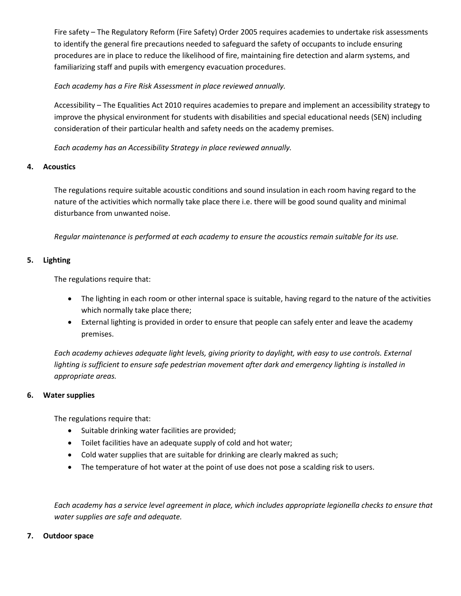Fire safety – The Regulatory Reform (Fire Safety) Order 2005 requires academies to undertake risk assessments to identify the general fire precautions needed to safeguard the safety of occupants to include ensuring procedures are in place to reduce the likelihood of fire, maintaining fire detection and alarm systems, and familiarizing staff and pupils with emergency evacuation procedures.

*Each academy has a Fire Risk Assessment in place reviewed annually.*

Accessibility – The Equalities Act 2010 requires academies to prepare and implement an accessibility strategy to improve the physical environment for students with disabilities and special educational needs (SEN) including consideration of their particular health and safety needs on the academy premises.

*Each academy has an Accessibility Strategy in place reviewed annually.*

# **4. Acoustics**

The regulations require suitable acoustic conditions and sound insulation in each room having regard to the nature of the activities which normally take place there i.e. there will be good sound quality and minimal disturbance from unwanted noise.

*Regular maintenance is performed at each academy to ensure the acoustics remain suitable for its use.*

# **5. Lighting**

The regulations require that:

- The lighting in each room or other internal space is suitable, having regard to the nature of the activities which normally take place there;
- External lighting is provided in order to ensure that people can safely enter and leave the academy premises.

*Each academy achieves adequate light levels, giving priority to daylight, with easy to use controls. External lighting is sufficient to ensure safe pedestrian movement after dark and emergency lighting is installed in appropriate areas.*

### **6. Water supplies**

The regulations require that:

- Suitable drinking water facilities are provided;
- Toilet facilities have an adequate supply of cold and hot water;
- Cold water supplies that are suitable for drinking are clearly makred as such;
- The temperature of hot water at the point of use does not pose a scalding risk to users.

*Each academy has a service level agreement in place, which includes appropriate legionella checks to ensure that water supplies are safe and adequate.*

### **7. Outdoor space**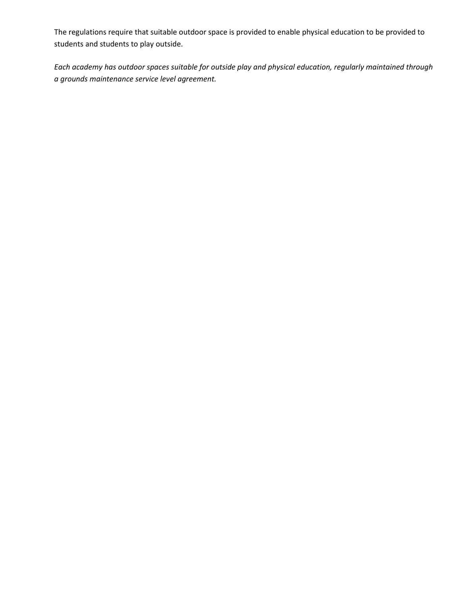The regulations require that suitable outdoor space is provided to enable physical education to be provided to students and students to play outside.

*Each academy has outdoor spaces suitable for outside play and physical education, regularly maintained through a grounds maintenance service level agreement.*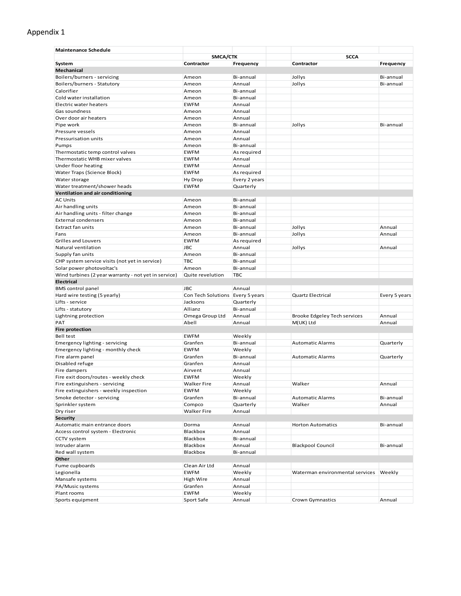# Appendix 1

| SMCA/CTK<br><b>SCCA</b><br>Frequency<br>Frequency<br>System<br>Contractor<br>Contractor<br>Mechanical<br>Boilers/burners - servicing<br>Bi-annual<br>Jollys<br>Bi-annual<br>Ameon<br>Boilers/burners - Statutory<br>Ameon<br>Annual<br>Jollys<br>Bi-annual<br>Calorifier<br>Bi-annual<br>Ameon<br>Cold water installation<br>Bi-annual<br>Ameon<br>Electric water heaters<br><b>EWFM</b><br>Annual<br>Annual<br>Gas soundness<br>Ameon<br>Over door air heaters<br>Annual<br>Ameon<br>Bi-annual<br>Jollys<br>Bi-annual<br>Pipe work<br>Ameon<br>Pressure vessels<br>Ameon<br>Annual<br>Pressurisation units<br>Annual<br>Ameon<br>Bi-annual<br>Pumps<br>Ameon<br><b>EWFM</b><br>As required<br>Thermostatic temp control valves<br>Thermostatic WHB mixer valves<br><b>EWFM</b><br>Annual<br>Annual<br>Under floor heating<br><b>EWFM</b><br>Water Traps (Science Block)<br>As required<br><b>EWFM</b><br>Water storage<br>Hy Drop<br>Every 2 years<br>Water treatment/shower heads<br><b>EWFM</b><br>Quarterly<br>Ventilation and air conditioning<br><b>AC Units</b><br>Bi-annual<br>Ameon<br>Air handling units<br>Bi-annual<br>Ameon<br>Air handling units - filter change<br>Bi-annual<br>Ameon<br><b>External condensers</b><br>Bi-annual<br>Ameon<br><b>Extract fan units</b><br>Jollys<br>Annual<br>Ameon<br>Bi-annual<br>Fans<br>Jollys<br>Annual<br>Ameon<br>Bi-annual<br><b>Grilles and Louvers</b><br><b>EWFM</b><br>As required<br>Natural ventilation<br><b>JBC</b><br>Annual<br>Jollys<br>Annual<br>Supply fan units<br>Ameon<br>Bi-annual<br>CHP system service visits (not yet in service)<br><b>TBC</b><br>Bi-annual<br>Solar power photovoltac's<br>Ameon<br>Bi-annual<br>Wind turbines (2 year warranty - not yet in service)<br>Quite revelution<br><b>TBC</b><br><b>Electrical</b><br><b>JBC</b><br>Annual<br><b>BMS</b> control panel<br>Hard wire testing (5 yearly)<br>Con Tech Solutions Every 5 years<br><b>Quartz Electrical</b><br>Every 5 years<br>Lifts - service<br>Jacksons<br>Quarterly<br>Allianz<br>Bi-annual<br>Lifts - statutory<br>Omega Group Ltd<br>Annual<br>Brooke Edgeley Tech services<br>Annual<br>Lightning protection<br>PAT<br>Abell<br>Annual<br>M(UK) Ltd<br>Annual<br><b>Fire protection</b><br>Bell test<br><b>EWFM</b><br>Weekly<br>Granfen<br>Bi-annual<br><b>Automatic Alarms</b><br>Quarterly<br>Emergency lighting - servicing<br><b>EWFM</b><br>Emergency lighting - monthly check<br>Weekly<br>Fire alarm panel<br>Granfen<br>Bi-annual<br><b>Automatic Alarms</b><br>Quarterly<br>Disabled refuge<br>Granfen<br>Annual<br>Fire dampers<br>Airvent<br>Annual<br>Fire exit doors/routes - weekly check<br>Weekly<br><b>EWFM</b><br><b>Walker Fire</b><br>Walker<br>Annual<br>Fire extinguishers - servicing<br>Annual<br>Fire extinguishers - weekly inspection<br><b>EWFM</b><br>Weekly<br>Smoke detector - servicing<br>Bi-annual<br>Granfen<br><b>Automatic Alarms</b><br>Bi-annual<br>Sprinkler system<br>Compco<br>Quarterly<br>Walker<br>Annual<br>Dry riser<br><b>Walker Fire</b><br>Annual<br><b>Security</b><br>Automatic main entrance doors<br>Dorma<br>Annual<br><b>Horton Automatics</b><br>Bi-annual<br>Access control system - Electronic<br>Blackbox<br>Annual<br>CCTV system<br>Blackbox<br>Bi-annual<br><b>Blackpool Council</b><br>Intruder alarm<br>Blackbox<br>Annual<br>Bi-annual<br>Red wall system<br>Blackbox<br>Bi-annual<br>Other<br>Fume cupboards<br>Clean Air Ltd<br>Annual<br>Legionella<br><b>EWFM</b><br>Weekly<br>Waterman environmental services<br>Weekly<br>Mansafe systems<br>High Wire<br>Annual<br>PA/Music systems<br>Granfen<br>Annual<br>Plant rooms<br><b>EWFM</b><br>Weekly | <b>Maintenance Schedule</b> |            |        |                  |        |
|-------------------------------------------------------------------------------------------------------------------------------------------------------------------------------------------------------------------------------------------------------------------------------------------------------------------------------------------------------------------------------------------------------------------------------------------------------------------------------------------------------------------------------------------------------------------------------------------------------------------------------------------------------------------------------------------------------------------------------------------------------------------------------------------------------------------------------------------------------------------------------------------------------------------------------------------------------------------------------------------------------------------------------------------------------------------------------------------------------------------------------------------------------------------------------------------------------------------------------------------------------------------------------------------------------------------------------------------------------------------------------------------------------------------------------------------------------------------------------------------------------------------------------------------------------------------------------------------------------------------------------------------------------------------------------------------------------------------------------------------------------------------------------------------------------------------------------------------------------------------------------------------------------------------------------------------------------------------------------------------------------------------------------------------------------------------------------------------------------------------------------------------------------------------------------------------------------------------------------------------------------------------------------------------------------------------------------------------------------------------------------------------------------------------------------------------------------------------------------------------------------------------------------------------------------------------------------------------------------------------------------------------------------------------------------------------------------------------------------------------------------------------------------------------------------------------------------------------------------------------------------------------------------------------------------------------------------------------------------------------------------------------------------------------------------------------------------------------------------------------------------------------------------------------------------------------------------------------------------------------------------------------------------------------------------------------------------------------------------------------------------------------------------------------------------------------------------------------------------------------------------------------------------------------------------------------------------------------------------------------------------------------------------------------------------------|-----------------------------|------------|--------|------------------|--------|
|                                                                                                                                                                                                                                                                                                                                                                                                                                                                                                                                                                                                                                                                                                                                                                                                                                                                                                                                                                                                                                                                                                                                                                                                                                                                                                                                                                                                                                                                                                                                                                                                                                                                                                                                                                                                                                                                                                                                                                                                                                                                                                                                                                                                                                                                                                                                                                                                                                                                                                                                                                                                                                                                                                                                                                                                                                                                                                                                                                                                                                                                                                                                                                                                                                                                                                                                                                                                                                                                                                                                                                                                                                                                                     |                             |            |        |                  |        |
|                                                                                                                                                                                                                                                                                                                                                                                                                                                                                                                                                                                                                                                                                                                                                                                                                                                                                                                                                                                                                                                                                                                                                                                                                                                                                                                                                                                                                                                                                                                                                                                                                                                                                                                                                                                                                                                                                                                                                                                                                                                                                                                                                                                                                                                                                                                                                                                                                                                                                                                                                                                                                                                                                                                                                                                                                                                                                                                                                                                                                                                                                                                                                                                                                                                                                                                                                                                                                                                                                                                                                                                                                                                                                     |                             |            |        |                  |        |
|                                                                                                                                                                                                                                                                                                                                                                                                                                                                                                                                                                                                                                                                                                                                                                                                                                                                                                                                                                                                                                                                                                                                                                                                                                                                                                                                                                                                                                                                                                                                                                                                                                                                                                                                                                                                                                                                                                                                                                                                                                                                                                                                                                                                                                                                                                                                                                                                                                                                                                                                                                                                                                                                                                                                                                                                                                                                                                                                                                                                                                                                                                                                                                                                                                                                                                                                                                                                                                                                                                                                                                                                                                                                                     |                             |            |        |                  |        |
|                                                                                                                                                                                                                                                                                                                                                                                                                                                                                                                                                                                                                                                                                                                                                                                                                                                                                                                                                                                                                                                                                                                                                                                                                                                                                                                                                                                                                                                                                                                                                                                                                                                                                                                                                                                                                                                                                                                                                                                                                                                                                                                                                                                                                                                                                                                                                                                                                                                                                                                                                                                                                                                                                                                                                                                                                                                                                                                                                                                                                                                                                                                                                                                                                                                                                                                                                                                                                                                                                                                                                                                                                                                                                     |                             |            |        |                  |        |
|                                                                                                                                                                                                                                                                                                                                                                                                                                                                                                                                                                                                                                                                                                                                                                                                                                                                                                                                                                                                                                                                                                                                                                                                                                                                                                                                                                                                                                                                                                                                                                                                                                                                                                                                                                                                                                                                                                                                                                                                                                                                                                                                                                                                                                                                                                                                                                                                                                                                                                                                                                                                                                                                                                                                                                                                                                                                                                                                                                                                                                                                                                                                                                                                                                                                                                                                                                                                                                                                                                                                                                                                                                                                                     |                             |            |        |                  |        |
|                                                                                                                                                                                                                                                                                                                                                                                                                                                                                                                                                                                                                                                                                                                                                                                                                                                                                                                                                                                                                                                                                                                                                                                                                                                                                                                                                                                                                                                                                                                                                                                                                                                                                                                                                                                                                                                                                                                                                                                                                                                                                                                                                                                                                                                                                                                                                                                                                                                                                                                                                                                                                                                                                                                                                                                                                                                                                                                                                                                                                                                                                                                                                                                                                                                                                                                                                                                                                                                                                                                                                                                                                                                                                     |                             |            |        |                  |        |
|                                                                                                                                                                                                                                                                                                                                                                                                                                                                                                                                                                                                                                                                                                                                                                                                                                                                                                                                                                                                                                                                                                                                                                                                                                                                                                                                                                                                                                                                                                                                                                                                                                                                                                                                                                                                                                                                                                                                                                                                                                                                                                                                                                                                                                                                                                                                                                                                                                                                                                                                                                                                                                                                                                                                                                                                                                                                                                                                                                                                                                                                                                                                                                                                                                                                                                                                                                                                                                                                                                                                                                                                                                                                                     |                             |            |        |                  |        |
|                                                                                                                                                                                                                                                                                                                                                                                                                                                                                                                                                                                                                                                                                                                                                                                                                                                                                                                                                                                                                                                                                                                                                                                                                                                                                                                                                                                                                                                                                                                                                                                                                                                                                                                                                                                                                                                                                                                                                                                                                                                                                                                                                                                                                                                                                                                                                                                                                                                                                                                                                                                                                                                                                                                                                                                                                                                                                                                                                                                                                                                                                                                                                                                                                                                                                                                                                                                                                                                                                                                                                                                                                                                                                     |                             |            |        |                  |        |
|                                                                                                                                                                                                                                                                                                                                                                                                                                                                                                                                                                                                                                                                                                                                                                                                                                                                                                                                                                                                                                                                                                                                                                                                                                                                                                                                                                                                                                                                                                                                                                                                                                                                                                                                                                                                                                                                                                                                                                                                                                                                                                                                                                                                                                                                                                                                                                                                                                                                                                                                                                                                                                                                                                                                                                                                                                                                                                                                                                                                                                                                                                                                                                                                                                                                                                                                                                                                                                                                                                                                                                                                                                                                                     |                             |            |        |                  |        |
|                                                                                                                                                                                                                                                                                                                                                                                                                                                                                                                                                                                                                                                                                                                                                                                                                                                                                                                                                                                                                                                                                                                                                                                                                                                                                                                                                                                                                                                                                                                                                                                                                                                                                                                                                                                                                                                                                                                                                                                                                                                                                                                                                                                                                                                                                                                                                                                                                                                                                                                                                                                                                                                                                                                                                                                                                                                                                                                                                                                                                                                                                                                                                                                                                                                                                                                                                                                                                                                                                                                                                                                                                                                                                     |                             |            |        |                  |        |
|                                                                                                                                                                                                                                                                                                                                                                                                                                                                                                                                                                                                                                                                                                                                                                                                                                                                                                                                                                                                                                                                                                                                                                                                                                                                                                                                                                                                                                                                                                                                                                                                                                                                                                                                                                                                                                                                                                                                                                                                                                                                                                                                                                                                                                                                                                                                                                                                                                                                                                                                                                                                                                                                                                                                                                                                                                                                                                                                                                                                                                                                                                                                                                                                                                                                                                                                                                                                                                                                                                                                                                                                                                                                                     |                             |            |        |                  |        |
|                                                                                                                                                                                                                                                                                                                                                                                                                                                                                                                                                                                                                                                                                                                                                                                                                                                                                                                                                                                                                                                                                                                                                                                                                                                                                                                                                                                                                                                                                                                                                                                                                                                                                                                                                                                                                                                                                                                                                                                                                                                                                                                                                                                                                                                                                                                                                                                                                                                                                                                                                                                                                                                                                                                                                                                                                                                                                                                                                                                                                                                                                                                                                                                                                                                                                                                                                                                                                                                                                                                                                                                                                                                                                     |                             |            |        |                  |        |
|                                                                                                                                                                                                                                                                                                                                                                                                                                                                                                                                                                                                                                                                                                                                                                                                                                                                                                                                                                                                                                                                                                                                                                                                                                                                                                                                                                                                                                                                                                                                                                                                                                                                                                                                                                                                                                                                                                                                                                                                                                                                                                                                                                                                                                                                                                                                                                                                                                                                                                                                                                                                                                                                                                                                                                                                                                                                                                                                                                                                                                                                                                                                                                                                                                                                                                                                                                                                                                                                                                                                                                                                                                                                                     |                             |            |        |                  |        |
|                                                                                                                                                                                                                                                                                                                                                                                                                                                                                                                                                                                                                                                                                                                                                                                                                                                                                                                                                                                                                                                                                                                                                                                                                                                                                                                                                                                                                                                                                                                                                                                                                                                                                                                                                                                                                                                                                                                                                                                                                                                                                                                                                                                                                                                                                                                                                                                                                                                                                                                                                                                                                                                                                                                                                                                                                                                                                                                                                                                                                                                                                                                                                                                                                                                                                                                                                                                                                                                                                                                                                                                                                                                                                     |                             |            |        |                  |        |
|                                                                                                                                                                                                                                                                                                                                                                                                                                                                                                                                                                                                                                                                                                                                                                                                                                                                                                                                                                                                                                                                                                                                                                                                                                                                                                                                                                                                                                                                                                                                                                                                                                                                                                                                                                                                                                                                                                                                                                                                                                                                                                                                                                                                                                                                                                                                                                                                                                                                                                                                                                                                                                                                                                                                                                                                                                                                                                                                                                                                                                                                                                                                                                                                                                                                                                                                                                                                                                                                                                                                                                                                                                                                                     |                             |            |        |                  |        |
|                                                                                                                                                                                                                                                                                                                                                                                                                                                                                                                                                                                                                                                                                                                                                                                                                                                                                                                                                                                                                                                                                                                                                                                                                                                                                                                                                                                                                                                                                                                                                                                                                                                                                                                                                                                                                                                                                                                                                                                                                                                                                                                                                                                                                                                                                                                                                                                                                                                                                                                                                                                                                                                                                                                                                                                                                                                                                                                                                                                                                                                                                                                                                                                                                                                                                                                                                                                                                                                                                                                                                                                                                                                                                     |                             |            |        |                  |        |
|                                                                                                                                                                                                                                                                                                                                                                                                                                                                                                                                                                                                                                                                                                                                                                                                                                                                                                                                                                                                                                                                                                                                                                                                                                                                                                                                                                                                                                                                                                                                                                                                                                                                                                                                                                                                                                                                                                                                                                                                                                                                                                                                                                                                                                                                                                                                                                                                                                                                                                                                                                                                                                                                                                                                                                                                                                                                                                                                                                                                                                                                                                                                                                                                                                                                                                                                                                                                                                                                                                                                                                                                                                                                                     |                             |            |        |                  |        |
|                                                                                                                                                                                                                                                                                                                                                                                                                                                                                                                                                                                                                                                                                                                                                                                                                                                                                                                                                                                                                                                                                                                                                                                                                                                                                                                                                                                                                                                                                                                                                                                                                                                                                                                                                                                                                                                                                                                                                                                                                                                                                                                                                                                                                                                                                                                                                                                                                                                                                                                                                                                                                                                                                                                                                                                                                                                                                                                                                                                                                                                                                                                                                                                                                                                                                                                                                                                                                                                                                                                                                                                                                                                                                     |                             |            |        |                  |        |
|                                                                                                                                                                                                                                                                                                                                                                                                                                                                                                                                                                                                                                                                                                                                                                                                                                                                                                                                                                                                                                                                                                                                                                                                                                                                                                                                                                                                                                                                                                                                                                                                                                                                                                                                                                                                                                                                                                                                                                                                                                                                                                                                                                                                                                                                                                                                                                                                                                                                                                                                                                                                                                                                                                                                                                                                                                                                                                                                                                                                                                                                                                                                                                                                                                                                                                                                                                                                                                                                                                                                                                                                                                                                                     |                             |            |        |                  |        |
|                                                                                                                                                                                                                                                                                                                                                                                                                                                                                                                                                                                                                                                                                                                                                                                                                                                                                                                                                                                                                                                                                                                                                                                                                                                                                                                                                                                                                                                                                                                                                                                                                                                                                                                                                                                                                                                                                                                                                                                                                                                                                                                                                                                                                                                                                                                                                                                                                                                                                                                                                                                                                                                                                                                                                                                                                                                                                                                                                                                                                                                                                                                                                                                                                                                                                                                                                                                                                                                                                                                                                                                                                                                                                     |                             |            |        |                  |        |
|                                                                                                                                                                                                                                                                                                                                                                                                                                                                                                                                                                                                                                                                                                                                                                                                                                                                                                                                                                                                                                                                                                                                                                                                                                                                                                                                                                                                                                                                                                                                                                                                                                                                                                                                                                                                                                                                                                                                                                                                                                                                                                                                                                                                                                                                                                                                                                                                                                                                                                                                                                                                                                                                                                                                                                                                                                                                                                                                                                                                                                                                                                                                                                                                                                                                                                                                                                                                                                                                                                                                                                                                                                                                                     |                             |            |        |                  |        |
|                                                                                                                                                                                                                                                                                                                                                                                                                                                                                                                                                                                                                                                                                                                                                                                                                                                                                                                                                                                                                                                                                                                                                                                                                                                                                                                                                                                                                                                                                                                                                                                                                                                                                                                                                                                                                                                                                                                                                                                                                                                                                                                                                                                                                                                                                                                                                                                                                                                                                                                                                                                                                                                                                                                                                                                                                                                                                                                                                                                                                                                                                                                                                                                                                                                                                                                                                                                                                                                                                                                                                                                                                                                                                     |                             |            |        |                  |        |
|                                                                                                                                                                                                                                                                                                                                                                                                                                                                                                                                                                                                                                                                                                                                                                                                                                                                                                                                                                                                                                                                                                                                                                                                                                                                                                                                                                                                                                                                                                                                                                                                                                                                                                                                                                                                                                                                                                                                                                                                                                                                                                                                                                                                                                                                                                                                                                                                                                                                                                                                                                                                                                                                                                                                                                                                                                                                                                                                                                                                                                                                                                                                                                                                                                                                                                                                                                                                                                                                                                                                                                                                                                                                                     |                             |            |        |                  |        |
|                                                                                                                                                                                                                                                                                                                                                                                                                                                                                                                                                                                                                                                                                                                                                                                                                                                                                                                                                                                                                                                                                                                                                                                                                                                                                                                                                                                                                                                                                                                                                                                                                                                                                                                                                                                                                                                                                                                                                                                                                                                                                                                                                                                                                                                                                                                                                                                                                                                                                                                                                                                                                                                                                                                                                                                                                                                                                                                                                                                                                                                                                                                                                                                                                                                                                                                                                                                                                                                                                                                                                                                                                                                                                     |                             |            |        |                  |        |
|                                                                                                                                                                                                                                                                                                                                                                                                                                                                                                                                                                                                                                                                                                                                                                                                                                                                                                                                                                                                                                                                                                                                                                                                                                                                                                                                                                                                                                                                                                                                                                                                                                                                                                                                                                                                                                                                                                                                                                                                                                                                                                                                                                                                                                                                                                                                                                                                                                                                                                                                                                                                                                                                                                                                                                                                                                                                                                                                                                                                                                                                                                                                                                                                                                                                                                                                                                                                                                                                                                                                                                                                                                                                                     |                             |            |        |                  |        |
|                                                                                                                                                                                                                                                                                                                                                                                                                                                                                                                                                                                                                                                                                                                                                                                                                                                                                                                                                                                                                                                                                                                                                                                                                                                                                                                                                                                                                                                                                                                                                                                                                                                                                                                                                                                                                                                                                                                                                                                                                                                                                                                                                                                                                                                                                                                                                                                                                                                                                                                                                                                                                                                                                                                                                                                                                                                                                                                                                                                                                                                                                                                                                                                                                                                                                                                                                                                                                                                                                                                                                                                                                                                                                     |                             |            |        |                  |        |
|                                                                                                                                                                                                                                                                                                                                                                                                                                                                                                                                                                                                                                                                                                                                                                                                                                                                                                                                                                                                                                                                                                                                                                                                                                                                                                                                                                                                                                                                                                                                                                                                                                                                                                                                                                                                                                                                                                                                                                                                                                                                                                                                                                                                                                                                                                                                                                                                                                                                                                                                                                                                                                                                                                                                                                                                                                                                                                                                                                                                                                                                                                                                                                                                                                                                                                                                                                                                                                                                                                                                                                                                                                                                                     |                             |            |        |                  |        |
|                                                                                                                                                                                                                                                                                                                                                                                                                                                                                                                                                                                                                                                                                                                                                                                                                                                                                                                                                                                                                                                                                                                                                                                                                                                                                                                                                                                                                                                                                                                                                                                                                                                                                                                                                                                                                                                                                                                                                                                                                                                                                                                                                                                                                                                                                                                                                                                                                                                                                                                                                                                                                                                                                                                                                                                                                                                                                                                                                                                                                                                                                                                                                                                                                                                                                                                                                                                                                                                                                                                                                                                                                                                                                     |                             |            |        |                  |        |
|                                                                                                                                                                                                                                                                                                                                                                                                                                                                                                                                                                                                                                                                                                                                                                                                                                                                                                                                                                                                                                                                                                                                                                                                                                                                                                                                                                                                                                                                                                                                                                                                                                                                                                                                                                                                                                                                                                                                                                                                                                                                                                                                                                                                                                                                                                                                                                                                                                                                                                                                                                                                                                                                                                                                                                                                                                                                                                                                                                                                                                                                                                                                                                                                                                                                                                                                                                                                                                                                                                                                                                                                                                                                                     |                             |            |        |                  |        |
|                                                                                                                                                                                                                                                                                                                                                                                                                                                                                                                                                                                                                                                                                                                                                                                                                                                                                                                                                                                                                                                                                                                                                                                                                                                                                                                                                                                                                                                                                                                                                                                                                                                                                                                                                                                                                                                                                                                                                                                                                                                                                                                                                                                                                                                                                                                                                                                                                                                                                                                                                                                                                                                                                                                                                                                                                                                                                                                                                                                                                                                                                                                                                                                                                                                                                                                                                                                                                                                                                                                                                                                                                                                                                     |                             |            |        |                  |        |
|                                                                                                                                                                                                                                                                                                                                                                                                                                                                                                                                                                                                                                                                                                                                                                                                                                                                                                                                                                                                                                                                                                                                                                                                                                                                                                                                                                                                                                                                                                                                                                                                                                                                                                                                                                                                                                                                                                                                                                                                                                                                                                                                                                                                                                                                                                                                                                                                                                                                                                                                                                                                                                                                                                                                                                                                                                                                                                                                                                                                                                                                                                                                                                                                                                                                                                                                                                                                                                                                                                                                                                                                                                                                                     |                             |            |        |                  |        |
|                                                                                                                                                                                                                                                                                                                                                                                                                                                                                                                                                                                                                                                                                                                                                                                                                                                                                                                                                                                                                                                                                                                                                                                                                                                                                                                                                                                                                                                                                                                                                                                                                                                                                                                                                                                                                                                                                                                                                                                                                                                                                                                                                                                                                                                                                                                                                                                                                                                                                                                                                                                                                                                                                                                                                                                                                                                                                                                                                                                                                                                                                                                                                                                                                                                                                                                                                                                                                                                                                                                                                                                                                                                                                     |                             |            |        |                  |        |
|                                                                                                                                                                                                                                                                                                                                                                                                                                                                                                                                                                                                                                                                                                                                                                                                                                                                                                                                                                                                                                                                                                                                                                                                                                                                                                                                                                                                                                                                                                                                                                                                                                                                                                                                                                                                                                                                                                                                                                                                                                                                                                                                                                                                                                                                                                                                                                                                                                                                                                                                                                                                                                                                                                                                                                                                                                                                                                                                                                                                                                                                                                                                                                                                                                                                                                                                                                                                                                                                                                                                                                                                                                                                                     |                             |            |        |                  |        |
|                                                                                                                                                                                                                                                                                                                                                                                                                                                                                                                                                                                                                                                                                                                                                                                                                                                                                                                                                                                                                                                                                                                                                                                                                                                                                                                                                                                                                                                                                                                                                                                                                                                                                                                                                                                                                                                                                                                                                                                                                                                                                                                                                                                                                                                                                                                                                                                                                                                                                                                                                                                                                                                                                                                                                                                                                                                                                                                                                                                                                                                                                                                                                                                                                                                                                                                                                                                                                                                                                                                                                                                                                                                                                     |                             |            |        |                  |        |
|                                                                                                                                                                                                                                                                                                                                                                                                                                                                                                                                                                                                                                                                                                                                                                                                                                                                                                                                                                                                                                                                                                                                                                                                                                                                                                                                                                                                                                                                                                                                                                                                                                                                                                                                                                                                                                                                                                                                                                                                                                                                                                                                                                                                                                                                                                                                                                                                                                                                                                                                                                                                                                                                                                                                                                                                                                                                                                                                                                                                                                                                                                                                                                                                                                                                                                                                                                                                                                                                                                                                                                                                                                                                                     |                             |            |        |                  |        |
|                                                                                                                                                                                                                                                                                                                                                                                                                                                                                                                                                                                                                                                                                                                                                                                                                                                                                                                                                                                                                                                                                                                                                                                                                                                                                                                                                                                                                                                                                                                                                                                                                                                                                                                                                                                                                                                                                                                                                                                                                                                                                                                                                                                                                                                                                                                                                                                                                                                                                                                                                                                                                                                                                                                                                                                                                                                                                                                                                                                                                                                                                                                                                                                                                                                                                                                                                                                                                                                                                                                                                                                                                                                                                     |                             |            |        |                  |        |
|                                                                                                                                                                                                                                                                                                                                                                                                                                                                                                                                                                                                                                                                                                                                                                                                                                                                                                                                                                                                                                                                                                                                                                                                                                                                                                                                                                                                                                                                                                                                                                                                                                                                                                                                                                                                                                                                                                                                                                                                                                                                                                                                                                                                                                                                                                                                                                                                                                                                                                                                                                                                                                                                                                                                                                                                                                                                                                                                                                                                                                                                                                                                                                                                                                                                                                                                                                                                                                                                                                                                                                                                                                                                                     |                             |            |        |                  |        |
|                                                                                                                                                                                                                                                                                                                                                                                                                                                                                                                                                                                                                                                                                                                                                                                                                                                                                                                                                                                                                                                                                                                                                                                                                                                                                                                                                                                                                                                                                                                                                                                                                                                                                                                                                                                                                                                                                                                                                                                                                                                                                                                                                                                                                                                                                                                                                                                                                                                                                                                                                                                                                                                                                                                                                                                                                                                                                                                                                                                                                                                                                                                                                                                                                                                                                                                                                                                                                                                                                                                                                                                                                                                                                     |                             |            |        |                  |        |
|                                                                                                                                                                                                                                                                                                                                                                                                                                                                                                                                                                                                                                                                                                                                                                                                                                                                                                                                                                                                                                                                                                                                                                                                                                                                                                                                                                                                                                                                                                                                                                                                                                                                                                                                                                                                                                                                                                                                                                                                                                                                                                                                                                                                                                                                                                                                                                                                                                                                                                                                                                                                                                                                                                                                                                                                                                                                                                                                                                                                                                                                                                                                                                                                                                                                                                                                                                                                                                                                                                                                                                                                                                                                                     |                             |            |        |                  |        |
|                                                                                                                                                                                                                                                                                                                                                                                                                                                                                                                                                                                                                                                                                                                                                                                                                                                                                                                                                                                                                                                                                                                                                                                                                                                                                                                                                                                                                                                                                                                                                                                                                                                                                                                                                                                                                                                                                                                                                                                                                                                                                                                                                                                                                                                                                                                                                                                                                                                                                                                                                                                                                                                                                                                                                                                                                                                                                                                                                                                                                                                                                                                                                                                                                                                                                                                                                                                                                                                                                                                                                                                                                                                                                     |                             |            |        |                  |        |
|                                                                                                                                                                                                                                                                                                                                                                                                                                                                                                                                                                                                                                                                                                                                                                                                                                                                                                                                                                                                                                                                                                                                                                                                                                                                                                                                                                                                                                                                                                                                                                                                                                                                                                                                                                                                                                                                                                                                                                                                                                                                                                                                                                                                                                                                                                                                                                                                                                                                                                                                                                                                                                                                                                                                                                                                                                                                                                                                                                                                                                                                                                                                                                                                                                                                                                                                                                                                                                                                                                                                                                                                                                                                                     |                             |            |        |                  |        |
|                                                                                                                                                                                                                                                                                                                                                                                                                                                                                                                                                                                                                                                                                                                                                                                                                                                                                                                                                                                                                                                                                                                                                                                                                                                                                                                                                                                                                                                                                                                                                                                                                                                                                                                                                                                                                                                                                                                                                                                                                                                                                                                                                                                                                                                                                                                                                                                                                                                                                                                                                                                                                                                                                                                                                                                                                                                                                                                                                                                                                                                                                                                                                                                                                                                                                                                                                                                                                                                                                                                                                                                                                                                                                     |                             |            |        |                  |        |
|                                                                                                                                                                                                                                                                                                                                                                                                                                                                                                                                                                                                                                                                                                                                                                                                                                                                                                                                                                                                                                                                                                                                                                                                                                                                                                                                                                                                                                                                                                                                                                                                                                                                                                                                                                                                                                                                                                                                                                                                                                                                                                                                                                                                                                                                                                                                                                                                                                                                                                                                                                                                                                                                                                                                                                                                                                                                                                                                                                                                                                                                                                                                                                                                                                                                                                                                                                                                                                                                                                                                                                                                                                                                                     |                             |            |        |                  |        |
|                                                                                                                                                                                                                                                                                                                                                                                                                                                                                                                                                                                                                                                                                                                                                                                                                                                                                                                                                                                                                                                                                                                                                                                                                                                                                                                                                                                                                                                                                                                                                                                                                                                                                                                                                                                                                                                                                                                                                                                                                                                                                                                                                                                                                                                                                                                                                                                                                                                                                                                                                                                                                                                                                                                                                                                                                                                                                                                                                                                                                                                                                                                                                                                                                                                                                                                                                                                                                                                                                                                                                                                                                                                                                     |                             |            |        |                  |        |
|                                                                                                                                                                                                                                                                                                                                                                                                                                                                                                                                                                                                                                                                                                                                                                                                                                                                                                                                                                                                                                                                                                                                                                                                                                                                                                                                                                                                                                                                                                                                                                                                                                                                                                                                                                                                                                                                                                                                                                                                                                                                                                                                                                                                                                                                                                                                                                                                                                                                                                                                                                                                                                                                                                                                                                                                                                                                                                                                                                                                                                                                                                                                                                                                                                                                                                                                                                                                                                                                                                                                                                                                                                                                                     |                             |            |        |                  |        |
|                                                                                                                                                                                                                                                                                                                                                                                                                                                                                                                                                                                                                                                                                                                                                                                                                                                                                                                                                                                                                                                                                                                                                                                                                                                                                                                                                                                                                                                                                                                                                                                                                                                                                                                                                                                                                                                                                                                                                                                                                                                                                                                                                                                                                                                                                                                                                                                                                                                                                                                                                                                                                                                                                                                                                                                                                                                                                                                                                                                                                                                                                                                                                                                                                                                                                                                                                                                                                                                                                                                                                                                                                                                                                     |                             |            |        |                  |        |
|                                                                                                                                                                                                                                                                                                                                                                                                                                                                                                                                                                                                                                                                                                                                                                                                                                                                                                                                                                                                                                                                                                                                                                                                                                                                                                                                                                                                                                                                                                                                                                                                                                                                                                                                                                                                                                                                                                                                                                                                                                                                                                                                                                                                                                                                                                                                                                                                                                                                                                                                                                                                                                                                                                                                                                                                                                                                                                                                                                                                                                                                                                                                                                                                                                                                                                                                                                                                                                                                                                                                                                                                                                                                                     |                             |            |        |                  |        |
|                                                                                                                                                                                                                                                                                                                                                                                                                                                                                                                                                                                                                                                                                                                                                                                                                                                                                                                                                                                                                                                                                                                                                                                                                                                                                                                                                                                                                                                                                                                                                                                                                                                                                                                                                                                                                                                                                                                                                                                                                                                                                                                                                                                                                                                                                                                                                                                                                                                                                                                                                                                                                                                                                                                                                                                                                                                                                                                                                                                                                                                                                                                                                                                                                                                                                                                                                                                                                                                                                                                                                                                                                                                                                     |                             |            |        |                  |        |
|                                                                                                                                                                                                                                                                                                                                                                                                                                                                                                                                                                                                                                                                                                                                                                                                                                                                                                                                                                                                                                                                                                                                                                                                                                                                                                                                                                                                                                                                                                                                                                                                                                                                                                                                                                                                                                                                                                                                                                                                                                                                                                                                                                                                                                                                                                                                                                                                                                                                                                                                                                                                                                                                                                                                                                                                                                                                                                                                                                                                                                                                                                                                                                                                                                                                                                                                                                                                                                                                                                                                                                                                                                                                                     |                             |            |        |                  |        |
|                                                                                                                                                                                                                                                                                                                                                                                                                                                                                                                                                                                                                                                                                                                                                                                                                                                                                                                                                                                                                                                                                                                                                                                                                                                                                                                                                                                                                                                                                                                                                                                                                                                                                                                                                                                                                                                                                                                                                                                                                                                                                                                                                                                                                                                                                                                                                                                                                                                                                                                                                                                                                                                                                                                                                                                                                                                                                                                                                                                                                                                                                                                                                                                                                                                                                                                                                                                                                                                                                                                                                                                                                                                                                     |                             |            |        |                  |        |
|                                                                                                                                                                                                                                                                                                                                                                                                                                                                                                                                                                                                                                                                                                                                                                                                                                                                                                                                                                                                                                                                                                                                                                                                                                                                                                                                                                                                                                                                                                                                                                                                                                                                                                                                                                                                                                                                                                                                                                                                                                                                                                                                                                                                                                                                                                                                                                                                                                                                                                                                                                                                                                                                                                                                                                                                                                                                                                                                                                                                                                                                                                                                                                                                                                                                                                                                                                                                                                                                                                                                                                                                                                                                                     |                             |            |        |                  |        |
|                                                                                                                                                                                                                                                                                                                                                                                                                                                                                                                                                                                                                                                                                                                                                                                                                                                                                                                                                                                                                                                                                                                                                                                                                                                                                                                                                                                                                                                                                                                                                                                                                                                                                                                                                                                                                                                                                                                                                                                                                                                                                                                                                                                                                                                                                                                                                                                                                                                                                                                                                                                                                                                                                                                                                                                                                                                                                                                                                                                                                                                                                                                                                                                                                                                                                                                                                                                                                                                                                                                                                                                                                                                                                     |                             |            |        |                  |        |
|                                                                                                                                                                                                                                                                                                                                                                                                                                                                                                                                                                                                                                                                                                                                                                                                                                                                                                                                                                                                                                                                                                                                                                                                                                                                                                                                                                                                                                                                                                                                                                                                                                                                                                                                                                                                                                                                                                                                                                                                                                                                                                                                                                                                                                                                                                                                                                                                                                                                                                                                                                                                                                                                                                                                                                                                                                                                                                                                                                                                                                                                                                                                                                                                                                                                                                                                                                                                                                                                                                                                                                                                                                                                                     |                             |            |        |                  |        |
|                                                                                                                                                                                                                                                                                                                                                                                                                                                                                                                                                                                                                                                                                                                                                                                                                                                                                                                                                                                                                                                                                                                                                                                                                                                                                                                                                                                                                                                                                                                                                                                                                                                                                                                                                                                                                                                                                                                                                                                                                                                                                                                                                                                                                                                                                                                                                                                                                                                                                                                                                                                                                                                                                                                                                                                                                                                                                                                                                                                                                                                                                                                                                                                                                                                                                                                                                                                                                                                                                                                                                                                                                                                                                     |                             |            |        |                  |        |
|                                                                                                                                                                                                                                                                                                                                                                                                                                                                                                                                                                                                                                                                                                                                                                                                                                                                                                                                                                                                                                                                                                                                                                                                                                                                                                                                                                                                                                                                                                                                                                                                                                                                                                                                                                                                                                                                                                                                                                                                                                                                                                                                                                                                                                                                                                                                                                                                                                                                                                                                                                                                                                                                                                                                                                                                                                                                                                                                                                                                                                                                                                                                                                                                                                                                                                                                                                                                                                                                                                                                                                                                                                                                                     |                             |            |        |                  |        |
|                                                                                                                                                                                                                                                                                                                                                                                                                                                                                                                                                                                                                                                                                                                                                                                                                                                                                                                                                                                                                                                                                                                                                                                                                                                                                                                                                                                                                                                                                                                                                                                                                                                                                                                                                                                                                                                                                                                                                                                                                                                                                                                                                                                                                                                                                                                                                                                                                                                                                                                                                                                                                                                                                                                                                                                                                                                                                                                                                                                                                                                                                                                                                                                                                                                                                                                                                                                                                                                                                                                                                                                                                                                                                     |                             |            |        |                  |        |
|                                                                                                                                                                                                                                                                                                                                                                                                                                                                                                                                                                                                                                                                                                                                                                                                                                                                                                                                                                                                                                                                                                                                                                                                                                                                                                                                                                                                                                                                                                                                                                                                                                                                                                                                                                                                                                                                                                                                                                                                                                                                                                                                                                                                                                                                                                                                                                                                                                                                                                                                                                                                                                                                                                                                                                                                                                                                                                                                                                                                                                                                                                                                                                                                                                                                                                                                                                                                                                                                                                                                                                                                                                                                                     |                             |            |        |                  |        |
|                                                                                                                                                                                                                                                                                                                                                                                                                                                                                                                                                                                                                                                                                                                                                                                                                                                                                                                                                                                                                                                                                                                                                                                                                                                                                                                                                                                                                                                                                                                                                                                                                                                                                                                                                                                                                                                                                                                                                                                                                                                                                                                                                                                                                                                                                                                                                                                                                                                                                                                                                                                                                                                                                                                                                                                                                                                                                                                                                                                                                                                                                                                                                                                                                                                                                                                                                                                                                                                                                                                                                                                                                                                                                     |                             |            |        |                  |        |
|                                                                                                                                                                                                                                                                                                                                                                                                                                                                                                                                                                                                                                                                                                                                                                                                                                                                                                                                                                                                                                                                                                                                                                                                                                                                                                                                                                                                                                                                                                                                                                                                                                                                                                                                                                                                                                                                                                                                                                                                                                                                                                                                                                                                                                                                                                                                                                                                                                                                                                                                                                                                                                                                                                                                                                                                                                                                                                                                                                                                                                                                                                                                                                                                                                                                                                                                                                                                                                                                                                                                                                                                                                                                                     |                             |            |        |                  |        |
|                                                                                                                                                                                                                                                                                                                                                                                                                                                                                                                                                                                                                                                                                                                                                                                                                                                                                                                                                                                                                                                                                                                                                                                                                                                                                                                                                                                                                                                                                                                                                                                                                                                                                                                                                                                                                                                                                                                                                                                                                                                                                                                                                                                                                                                                                                                                                                                                                                                                                                                                                                                                                                                                                                                                                                                                                                                                                                                                                                                                                                                                                                                                                                                                                                                                                                                                                                                                                                                                                                                                                                                                                                                                                     |                             |            |        |                  |        |
|                                                                                                                                                                                                                                                                                                                                                                                                                                                                                                                                                                                                                                                                                                                                                                                                                                                                                                                                                                                                                                                                                                                                                                                                                                                                                                                                                                                                                                                                                                                                                                                                                                                                                                                                                                                                                                                                                                                                                                                                                                                                                                                                                                                                                                                                                                                                                                                                                                                                                                                                                                                                                                                                                                                                                                                                                                                                                                                                                                                                                                                                                                                                                                                                                                                                                                                                                                                                                                                                                                                                                                                                                                                                                     |                             |            |        |                  |        |
|                                                                                                                                                                                                                                                                                                                                                                                                                                                                                                                                                                                                                                                                                                                                                                                                                                                                                                                                                                                                                                                                                                                                                                                                                                                                                                                                                                                                                                                                                                                                                                                                                                                                                                                                                                                                                                                                                                                                                                                                                                                                                                                                                                                                                                                                                                                                                                                                                                                                                                                                                                                                                                                                                                                                                                                                                                                                                                                                                                                                                                                                                                                                                                                                                                                                                                                                                                                                                                                                                                                                                                                                                                                                                     |                             |            |        |                  |        |
|                                                                                                                                                                                                                                                                                                                                                                                                                                                                                                                                                                                                                                                                                                                                                                                                                                                                                                                                                                                                                                                                                                                                                                                                                                                                                                                                                                                                                                                                                                                                                                                                                                                                                                                                                                                                                                                                                                                                                                                                                                                                                                                                                                                                                                                                                                                                                                                                                                                                                                                                                                                                                                                                                                                                                                                                                                                                                                                                                                                                                                                                                                                                                                                                                                                                                                                                                                                                                                                                                                                                                                                                                                                                                     |                             |            |        |                  |        |
|                                                                                                                                                                                                                                                                                                                                                                                                                                                                                                                                                                                                                                                                                                                                                                                                                                                                                                                                                                                                                                                                                                                                                                                                                                                                                                                                                                                                                                                                                                                                                                                                                                                                                                                                                                                                                                                                                                                                                                                                                                                                                                                                                                                                                                                                                                                                                                                                                                                                                                                                                                                                                                                                                                                                                                                                                                                                                                                                                                                                                                                                                                                                                                                                                                                                                                                                                                                                                                                                                                                                                                                                                                                                                     |                             |            |        |                  |        |
|                                                                                                                                                                                                                                                                                                                                                                                                                                                                                                                                                                                                                                                                                                                                                                                                                                                                                                                                                                                                                                                                                                                                                                                                                                                                                                                                                                                                                                                                                                                                                                                                                                                                                                                                                                                                                                                                                                                                                                                                                                                                                                                                                                                                                                                                                                                                                                                                                                                                                                                                                                                                                                                                                                                                                                                                                                                                                                                                                                                                                                                                                                                                                                                                                                                                                                                                                                                                                                                                                                                                                                                                                                                                                     |                             |            |        |                  |        |
|                                                                                                                                                                                                                                                                                                                                                                                                                                                                                                                                                                                                                                                                                                                                                                                                                                                                                                                                                                                                                                                                                                                                                                                                                                                                                                                                                                                                                                                                                                                                                                                                                                                                                                                                                                                                                                                                                                                                                                                                                                                                                                                                                                                                                                                                                                                                                                                                                                                                                                                                                                                                                                                                                                                                                                                                                                                                                                                                                                                                                                                                                                                                                                                                                                                                                                                                                                                                                                                                                                                                                                                                                                                                                     |                             |            |        |                  |        |
|                                                                                                                                                                                                                                                                                                                                                                                                                                                                                                                                                                                                                                                                                                                                                                                                                                                                                                                                                                                                                                                                                                                                                                                                                                                                                                                                                                                                                                                                                                                                                                                                                                                                                                                                                                                                                                                                                                                                                                                                                                                                                                                                                                                                                                                                                                                                                                                                                                                                                                                                                                                                                                                                                                                                                                                                                                                                                                                                                                                                                                                                                                                                                                                                                                                                                                                                                                                                                                                                                                                                                                                                                                                                                     |                             |            |        |                  |        |
|                                                                                                                                                                                                                                                                                                                                                                                                                                                                                                                                                                                                                                                                                                                                                                                                                                                                                                                                                                                                                                                                                                                                                                                                                                                                                                                                                                                                                                                                                                                                                                                                                                                                                                                                                                                                                                                                                                                                                                                                                                                                                                                                                                                                                                                                                                                                                                                                                                                                                                                                                                                                                                                                                                                                                                                                                                                                                                                                                                                                                                                                                                                                                                                                                                                                                                                                                                                                                                                                                                                                                                                                                                                                                     |                             |            |        |                  |        |
|                                                                                                                                                                                                                                                                                                                                                                                                                                                                                                                                                                                                                                                                                                                                                                                                                                                                                                                                                                                                                                                                                                                                                                                                                                                                                                                                                                                                                                                                                                                                                                                                                                                                                                                                                                                                                                                                                                                                                                                                                                                                                                                                                                                                                                                                                                                                                                                                                                                                                                                                                                                                                                                                                                                                                                                                                                                                                                                                                                                                                                                                                                                                                                                                                                                                                                                                                                                                                                                                                                                                                                                                                                                                                     | Sports equipment            | Sport Safe | Annual | Crown Gymnastics | Annual |